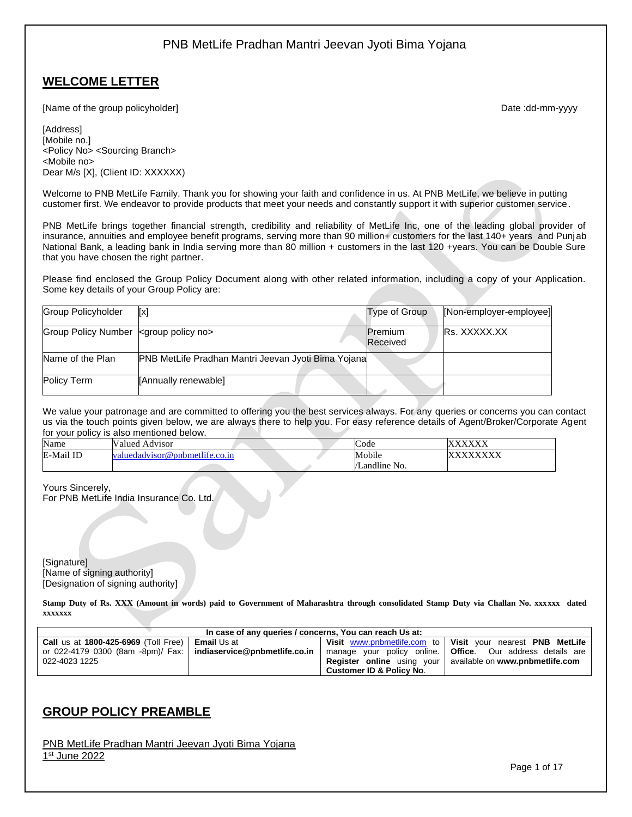## **WELCOME LETTER**

[Name of the group policyholder] example and the group policyholder] and the control of the group policyholder]

[Address] [Mobile no.] <Policy No> <Sourcing Branch> <Mobile no> Dear M/s [X], (Client ID: XXXXXX)

Welcome to PNB MetLife Family. Thank you for showing your faith and confidence in us. At PNB MetLife, we believe in putting customer first. We endeavor to provide products that meet your needs and constantly support it with superior customer service.

PNB MetLife brings together financial strength, credibility and reliability of MetLife Inc, one of the leading global provider of insurance, annuities and employee benefit programs, serving more than 90 million+ customers for the last 140+ years and Punjab National Bank, a leading bank in India serving more than 80 million + customers in the last 120 +years. You can be Double Sure that you have chosen the right partner.

Please find enclosed the Group Policy Document along with other related information, including a copy of your Application. Some key details of your Group Policy are:

| Group Policyholder                                  | [x]                                                 | Type of Group              | [Non-employer-employee] |
|-----------------------------------------------------|-----------------------------------------------------|----------------------------|-------------------------|
| Group Policy Number <group no="" policy=""></group> |                                                     | <b>Premium</b><br>Received | <b>Rs. XXXXX.XX</b>     |
| Name of the Plan                                    | PNB MetLife Pradhan Mantri Jeevan Jyoti Bima Yojana |                            |                         |
| Policy Term                                         | [Annually renewable]                                |                            |                         |

We value your patronage and are committed to offering you the best services always. For any queries or concerns you can contact us via the touch points given below, we are always there to help you. For easy reference details of Agent/Broker/Corporate Agent for your policy is also mentioned below.

| Name         | Valued<br>Advisor             | $\sim$<br>code |             |
|--------------|-------------------------------|----------------|-------------|
| ID<br>E-Mail | aluedadyisor@pnbmetlife.co.in | Mobile         | <b>/vvv</b> |
|              |                               | /Landline No.  |             |

Yours Sincerely, For PNB MetLife India Insurance Co. Ltd.

[Signature] [Name of signing authority] [Designation of signing authority]

**Stamp Duty of Rs. XXX (Amount in words) paid to Government of Maharashtra through consolidated Stamp Duty via Challan No. xxxxxx dated xxxxxxx**

| In case of any queries / concerns, You can reach Us at:           |                      |                                     |                                                                   |  |
|-------------------------------------------------------------------|----------------------|-------------------------------------|-------------------------------------------------------------------|--|
| <b>Call</b> us at 1800-425-6969 (Toll Free)                       | <b>Ⅰ Email</b> Us at |                                     | Visit www.pnbmetlife.com to   Visit your nearest PNB MetLife      |  |
| or 022-4179 0300 (8am -8pm)/ Fax:   indiaservice@pnbmetlife.co.in |                      |                                     | manage your policy online.   Office. Our address details are      |  |
| 022-4023 1225                                                     |                      |                                     | <b>Register online</b> using your available on www.pnbmetlife.com |  |
|                                                                   |                      | <b>Customer ID &amp; Policy No.</b> |                                                                   |  |

## **GROUP POLICY PREAMBLE**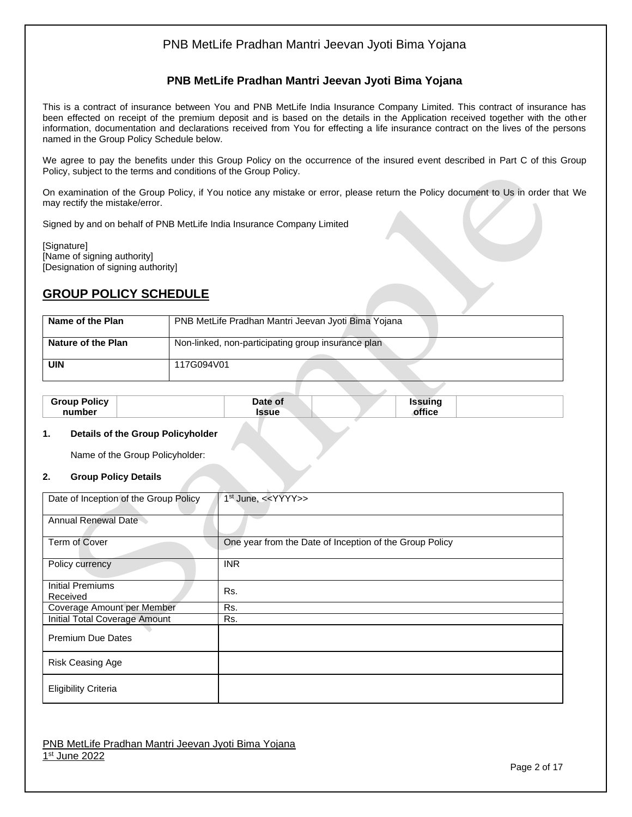### **PNB MetLife Pradhan Mantri Jeevan Jyoti Bima Yojana**

This is a contract of insurance between You and PNB MetLife India Insurance Company Limited. This contract of insurance has been effected on receipt of the premium deposit and is based on the details in the Application received together with the other information, documentation and declarations received from You for effecting a life insurance contract on the lives of the persons named in the Group Policy Schedule below.

We agree to pay the benefits under this Group Policy on the occurrence of the insured event described in Part C of this Group Policy, subject to the terms and conditions of the Group Policy.

On examination of the Group Policy, if You notice any mistake or error, please return the Policy document to Us in order that We may rectify the mistake/error.

Signed by and on behalf of PNB MetLife India Insurance Company Limited

[Signature] [Name of signing authority] [Designation of signing authority]

## **GROUP POLICY SCHEDULE**

| Name of the Plan          | PNB MetLife Pradhan Mantri Jeevan Jyoti Bima Yojana |
|---------------------------|-----------------------------------------------------|
| <b>Nature of the Plan</b> | Non-linked, non-participating group insurance plan  |
| <b>UIN</b>                | 117G094V01                                          |
|                           |                                                     |

| Policy<br>Groun | Date of      | ------- |  |
|-----------------|--------------|---------|--|
| number          | <b>CCIIO</b> |         |  |
|                 |              |         |  |

#### **1. Details of the Group Policyholder**

Name of the Group Policyholder:

#### **2. Group Policy Details**

| Date of Inception of the Group Policy | $1st$ June, < <yyyy>&gt;</yyyy>                         |
|---------------------------------------|---------------------------------------------------------|
| Annual Renewal Date                   |                                                         |
| Term of Cover                         | One year from the Date of Inception of the Group Policy |
| Policy currency                       | <b>INR</b>                                              |
| Initial Premiums<br>Received          | Rs.                                                     |
| Coverage Amount per Member            | Rs.                                                     |
| <b>Initial Total Coverage Amount</b>  | Rs.                                                     |
| <b>Premium Due Dates</b>              |                                                         |
| Risk Ceasing Age                      |                                                         |
| <b>Eligibility Criteria</b>           |                                                         |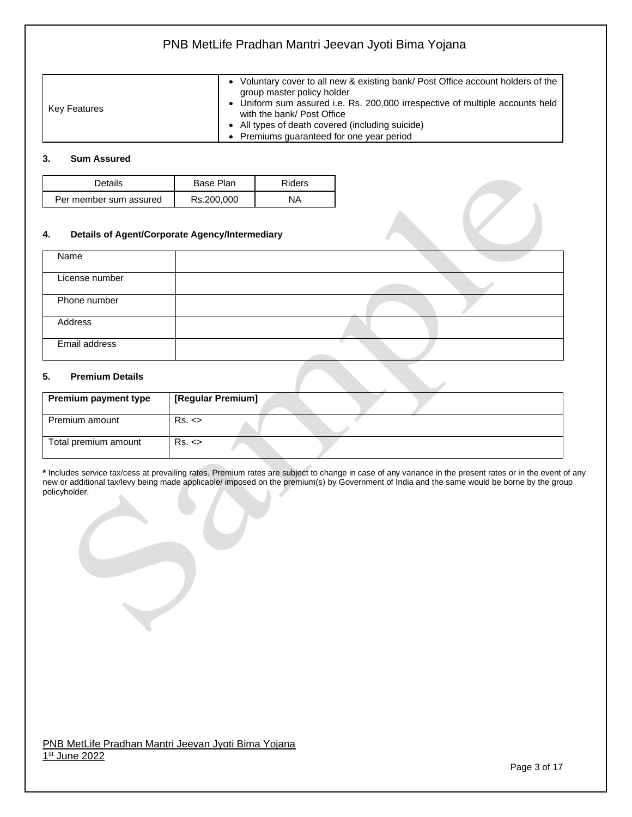| Key Features | Voluntary cover to all new & existing bank/ Post Office account holders of the<br>group master policy holder<br>• Uniform sum assured i.e. Rs. 200,000 irrespective of multiple accounts held<br>with the bank/ Post Office<br>• All types of death covered (including suicide) |
|--------------|---------------------------------------------------------------------------------------------------------------------------------------------------------------------------------------------------------------------------------------------------------------------------------|
|              | • Premiums quaranteed for one year period                                                                                                                                                                                                                                       |

### **3. Sum Assured**

| Details                | Base Plan  | Riders |
|------------------------|------------|--------|
| Per member sum assured | Rs.200,000 | ΝA     |

#### **4. Details of Agent/Corporate Agency/Intermediary**

| Name           |  |
|----------------|--|
| License number |  |
| Phone number   |  |
| Address        |  |
| Email address  |  |

#### **5. Premium Details**

| <b>Premium payment type</b> | [Regular Premium] |
|-----------------------------|-------------------|
| Premium amount              | Rs. <             |
| Total premium amount        | Rs. <             |

**\*** Includes service tax/cess at prevailing rates. Premium rates are subject to change in case of any variance in the present rates or in the event of any new or additional tax/levy being made applicable/ imposed on the premium(s) by Government of India and the same would be borne by the group policyholder.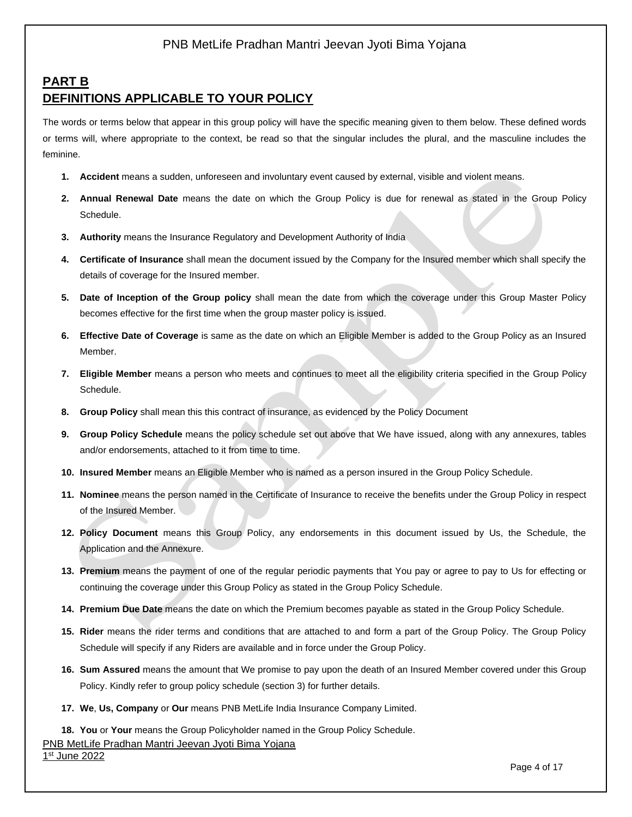## **PART B DEFINITIONS APPLICABLE TO YOUR POLICY**

The words or terms below that appear in this group policy will have the specific meaning given to them below. These defined words or terms will, where appropriate to the context, be read so that the singular includes the plural, and the masculine includes the feminine.

- **1. Accident** means a sudden, unforeseen and involuntary event caused by external, visible and violent means.
- **2. Annual Renewal Date** means the date on which the Group Policy is due for renewal as stated in the Group Policy Schedule.
- **3. Authority** means the Insurance Regulatory and Development Authority of India
- **4. Certificate of Insurance** shall mean the document issued by the Company for the Insured member which shall specify the details of coverage for the Insured member.
- **5. Date of Inception of the Group policy** shall mean the date from which the coverage under this Group Master Policy becomes effective for the first time when the group master policy is issued.
- **6. Effective Date of Coverage** is same as the date on which an Eligible Member is added to the Group Policy as an Insured Member.
- **7. Eligible Member** means a person who meets and continues to meet all the eligibility criteria specified in the Group Policy Schedule.
- **8. Group Policy** shall mean this this contract of insurance, as evidenced by the Policy Document
- **9. Group Policy Schedule** means the policy schedule set out above that We have issued, along with any annexures, tables and/or endorsements, attached to it from time to time.
- **10. Insured Member** means an Eligible Member who is named as a person insured in the Group Policy Schedule.
- **11. Nominee** means the person named in the Certificate of Insurance to receive the benefits under the Group Policy in respect of the Insured Member.
- **12. Policy Document** means this Group Policy, any endorsements in this document issued by Us, the Schedule, the Application and the Annexure.
- **13. Premium** means the payment of one of the regular periodic payments that You pay or agree to pay to Us for effecting or continuing the coverage under this Group Policy as stated in the Group Policy Schedule.
- **14. Premium Due Date** means the date on which the Premium becomes payable as stated in the Group Policy Schedule.
- **15. Rider** means the rider terms and conditions that are attached to and form a part of the Group Policy. The Group Policy Schedule will specify if any Riders are available and in force under the Group Policy.
- **16. Sum Assured** means the amount that We promise to pay upon the death of an Insured Member covered under this Group Policy. Kindly refer to group policy schedule (section 3) for further details.
- **17. We**, **Us, Company** or **Our** means PNB MetLife India Insurance Company Limited.

**18. You** or **Your** means the Group Policyholder named in the Group Policy Schedule.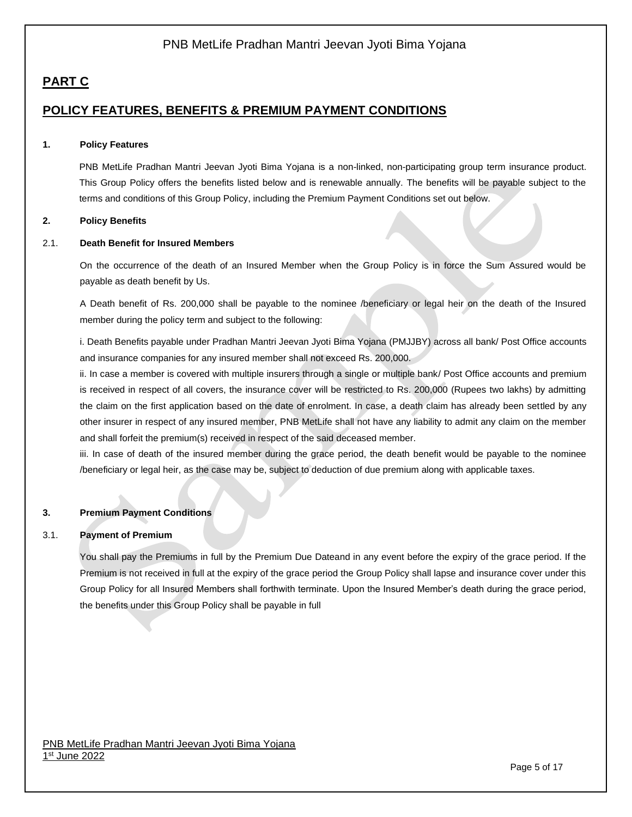# **PART C**

# **POLICY FEATURES, BENEFITS & PREMIUM PAYMENT CONDITIONS**

### **1. Policy Features**

PNB MetLife Pradhan Mantri Jeevan Jyoti Bima Yojana is a non-linked, non-participating group term insurance product. This Group Policy offers the benefits listed below and is renewable annually. The benefits will be payable subject to the terms and conditions of this Group Policy, including the Premium Payment Conditions set out below.

#### **2. Policy Benefits**

### 2.1. **Death Benefit for Insured Members**

On the occurrence of the death of an Insured Member when the Group Policy is in force the Sum Assured would be payable as death benefit by Us.

A Death benefit of Rs. 200,000 shall be payable to the nominee /beneficiary or legal heir on the death of the Insured member during the policy term and subject to the following:

i. Death Benefits payable under Pradhan Mantri Jeevan Jyoti Bima Yojana (PMJJBY) across all bank/ Post Office accounts and insurance companies for any insured member shall not exceed Rs. 200,000.

ii. In case a member is covered with multiple insurers through a single or multiple bank/ Post Office accounts and premium is received in respect of all covers, the insurance cover will be restricted to Rs. 200,000 (Rupees two lakhs) by admitting the claim on the first application based on the date of enrolment. In case, a death claim has already been settled by any other insurer in respect of any insured member, PNB MetLife shall not have any liability to admit any claim on the member and shall forfeit the premium(s) received in respect of the said deceased member.

iii. In case of death of the insured member during the grace period, the death benefit would be payable to the nominee /beneficiary or legal heir, as the case may be, subject to deduction of due premium along with applicable taxes.

### **3. Premium Payment Conditions**

#### 3.1. **Payment of Premium**

You shall pay the Premiums in full by the Premium Due Dateand in any event before the expiry of the grace period. If the Premium is not received in full at the expiry of the grace period the Group Policy shall lapse and insurance cover under this Group Policy for all Insured Members shall forthwith terminate. Upon the Insured Member's death during the grace period, the benefits under this Group Policy shall be payable in full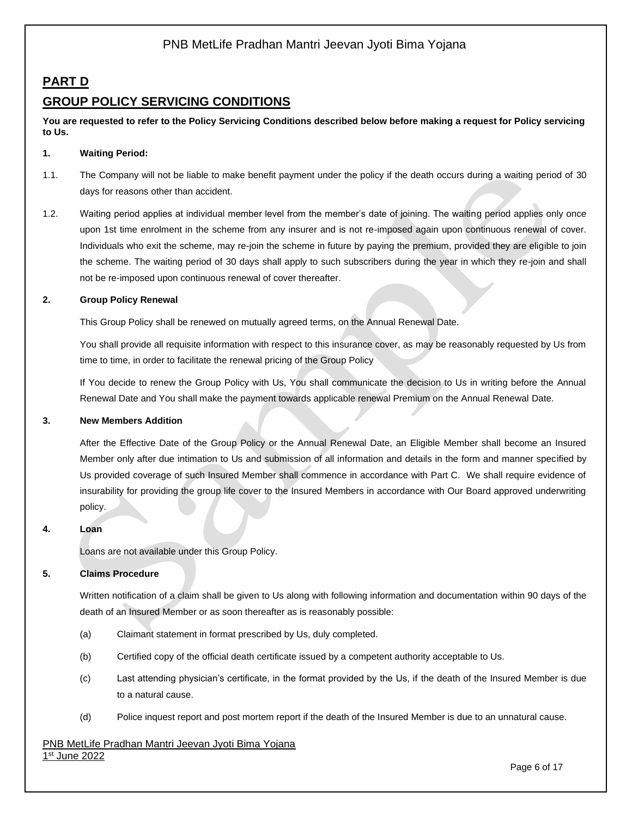# **PART D**

# **GROUP POLICY SERVICING CONDITIONS**

**You are requested to refer to the Policy Servicing Conditions described below before making a request for Policy servicing to Us.**

### **1. Waiting Period:**

- 1.1. The Company will not be liable to make benefit payment under the policy if the death occurs during a waiting period of 30 days for reasons other than accident.
- 1.2. Waiting period applies at individual member level from the member's date of joining. The waiting period applies only once upon 1st time enrolment in the scheme from any insurer and is not re-imposed again upon continuous renewal of cover. Individuals who exit the scheme, may re-join the scheme in future by paying the premium, provided they are eligible to join the scheme. The waiting period of 30 days shall apply to such subscribers during the year in which they re-join and shall not be re-imposed upon continuous renewal of cover thereafter.

#### **2. Group Policy Renewal**

This Group Policy shall be renewed on mutually agreed terms, on the Annual Renewal Date.

You shall provide all requisite information with respect to this insurance cover, as may be reasonably requested by Us from time to time, in order to facilitate the renewal pricing of the Group Policy

If You decide to renew the Group Policy with Us, You shall communicate the decision to Us in writing before the Annual Renewal Date and You shall make the payment towards applicable renewal Premium on the Annual Renewal Date.

### **3. New Members Addition**

After the Effective Date of the Group Policy or the Annual Renewal Date, an Eligible Member shall become an Insured Member only after due intimation to Us and submission of all information and details in the form and manner specified by Us provided coverage of such Insured Member shall commence in accordance with Part C. We shall require evidence of insurability for providing the group life cover to the Insured Members in accordance with Our Board approved underwriting policy.

### **4. Loan**

Loans are not available under this Group Policy.

### **5. Claims Procedure**

Written notification of a claim shall be given to Us along with following information and documentation within 90 days of the death of an Insured Member or as soon thereafter as is reasonably possible:

- (a) Claimant statement in format prescribed by Us, duly completed.
- (b) Certified copy of the official death certificate issued by a competent authority acceptable to Us.
- (c) Last attending physician's certificate, in the format provided by the Us, if the death of the Insured Member is due to a natural cause.
- (d) Police inquest report and post mortem report if the death of the Insured Member is due to an unnatural cause.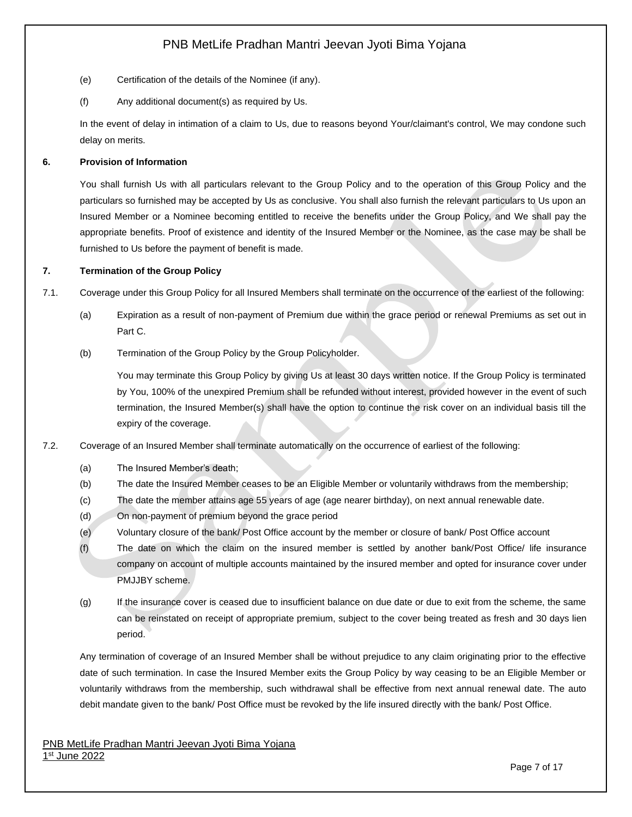- (e) Certification of the details of the Nominee (if any).
- (f) Any additional document(s) as required by Us.

In the event of delay in intimation of a claim to Us, due to reasons beyond Your/claimant's control, We may condone such delay on merits.

### **6. Provision of Information**

You shall furnish Us with all particulars relevant to the Group Policy and to the operation of this Group Policy and the particulars so furnished may be accepted by Us as conclusive. You shall also furnish the relevant particulars to Us upon an Insured Member or a Nominee becoming entitled to receive the benefits under the Group Policy, and We shall pay the appropriate benefits. Proof of existence and identity of the Insured Member or the Nominee, as the case may be shall be furnished to Us before the payment of benefit is made.

### **7. Termination of the Group Policy**

- 7.1. Coverage under this Group Policy for all Insured Members shall terminate on the occurrence of the earliest of the following:
	- (a) Expiration as a result of non-payment of Premium due within the grace period or renewal Premiums as set out in Part C.
	- (b) Termination of the Group Policy by the Group Policyholder.

You may terminate this Group Policy by giving Us at least 30 days written notice. If the Group Policy is terminated by You, 100% of the unexpired Premium shall be refunded without interest, provided however in the event of such termination, the Insured Member(s) shall have the option to continue the risk cover on an individual basis till the expiry of the coverage.

- 7.2. Coverage of an Insured Member shall terminate automatically on the occurrence of earliest of the following:
	- (a) The Insured Member's death;
	- (b) The date the Insured Member ceases to be an Eligible Member or voluntarily withdraws from the membership;
	- (c) The date the member attains age 55 years of age (age nearer birthday), on next annual renewable date.
	- (d) On non-payment of premium beyond the grace period
	- (e) Voluntary closure of the bank/ Post Office account by the member or closure of bank/ Post Office account
	- (f) The date on which the claim on the insured member is settled by another bank/Post Office/ life insurance company on account of multiple accounts maintained by the insured member and opted for insurance cover under PMJJBY scheme.
	- (g) If the insurance cover is ceased due to insufficient balance on due date or due to exit from the scheme, the same can be reinstated on receipt of appropriate premium, subject to the cover being treated as fresh and 30 days lien period.

Any termination of coverage of an Insured Member shall be without prejudice to any claim originating prior to the effective date of such termination. In case the Insured Member exits the Group Policy by way ceasing to be an Eligible Member or voluntarily withdraws from the membership, such withdrawal shall be effective from next annual renewal date. The auto debit mandate given to the bank/ Post Office must be revoked by the life insured directly with the bank/ Post Office.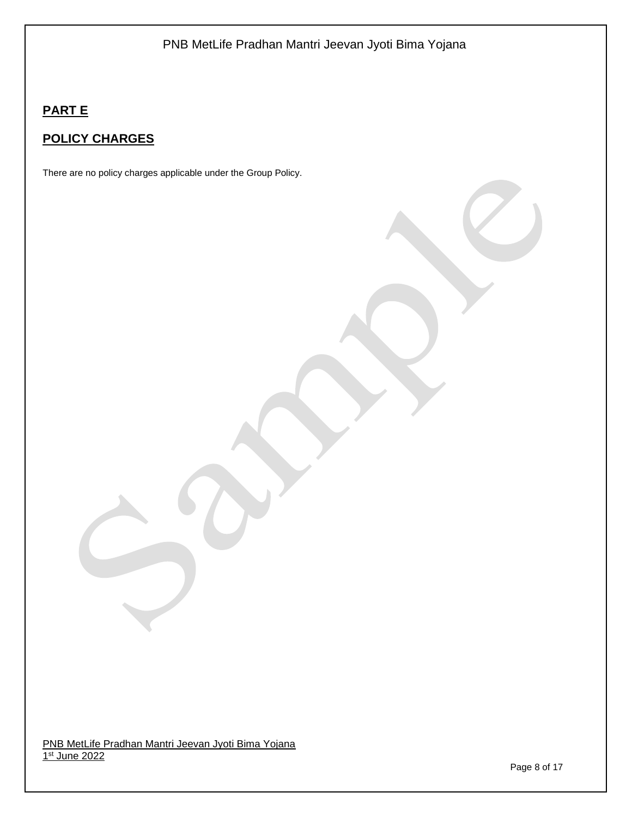# **PART E**

# **POLICY CHARGES**

There are no policy charges applicable under the Group Policy.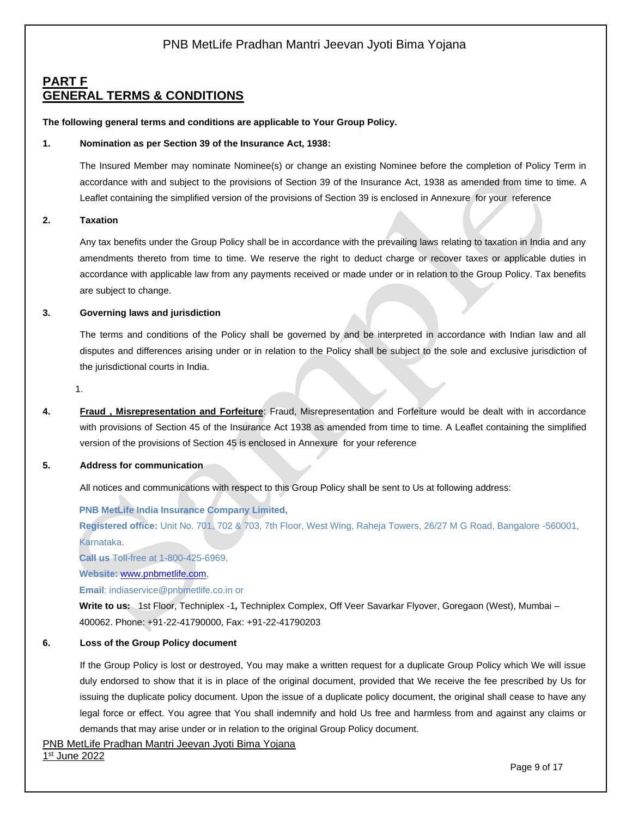### **PART F GENERAL TERMS & CONDITIONS**

#### **The following general terms and conditions are applicable to Your Group Policy.**

#### **1. Nomination as per Section 39 of the Insurance Act, 1938:**

The Insured Member may nominate Nominee(s) or change an existing Nominee before the completion of Policy Term in accordance with and subject to the provisions of Section 39 of the Insurance Act, 1938 as amended from time to time. A Leaflet containing the simplified version of the provisions of Section 39 is enclosed in Annexure for your reference

#### **2. Taxation**

Any tax benefits under the Group Policy shall be in accordance with the prevailing laws relating to taxation in India and any amendments thereto from time to time. We reserve the right to deduct charge or recover taxes or applicable duties in accordance with applicable law from any payments received or made under or in relation to the Group Policy. Tax benefits are subject to change.

#### **3. Governing laws and jurisdiction**

The terms and conditions of the Policy shall be governed by and be interpreted in accordance with Indian law and all disputes and differences arising under or in relation to the Policy shall be subject to the sole and exclusive jurisdiction of the jurisdictional courts in India.

1.

**4. Fraud , Misrepresentation and Forfeiture**: Fraud, Misrepresentation and Forfeiture would be dealt with in accordance with provisions of Section 45 of the Insurance Act 1938 as amended from time to time. A Leaflet containing the simplified version of the provisions of Section 45 is enclosed in Annexure for your reference

#### **5. Address for communication**

All notices and communications with respect to this Group Policy shall be sent to Us at following address:

### **PNB MetLife India Insurance Company Limited,**

**Registered office:** Unit No. 701, 702 & 703, 7th Floor, West Wing, Raheja Towers, 26/27 M G Road, Bangalore -560001, Karnataka.

**Call us** Toll-free at 1-800-425-6969,

**Website:** [www.pnbmetlife.com,](http://www.pnbmetlife.com/)

**Email**: indiaservice@pnbmetlife.co.in or

**Write to us:** 1st Floor, Techniplex -1*,* Techniplex Complex, Off Veer Savarkar Flyover, Goregaon (West), Mumbai – 400062. Phone: +91-22-41790000, Fax: +91-22-41790203

#### **6. Loss of the Group Policy document**

If the Group Policy is lost or destroyed, You may make a written request for a duplicate Group Policy which We will issue duly endorsed to show that it is in place of the original document, provided that We receive the fee prescribed by Us for issuing the duplicate policy document. Upon the issue of a duplicate policy document, the original shall cease to have any legal force or effect. You agree that You shall indemnify and hold Us free and harmless from and against any claims or demands that may arise under or in relation to the original Group Policy document.

PNB MetLife Pradhan Mantri Jeevan Jyoti Bima Yojana

1st June 2022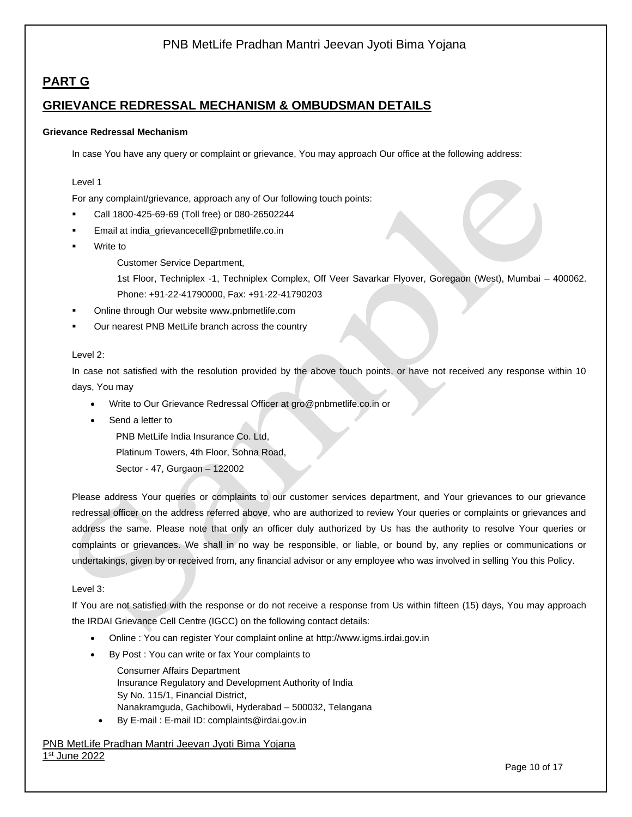# **PART G**

### **GRIEVANCE REDRESSAL MECHANISM & OMBUDSMAN DETAILS**

#### **Grievance Redressal Mechanism**

In case You have any query or complaint or grievance, You may approach Our office at the following address:

#### Level 1

For any complaint/grievance, approach any of Our following touch points:

- Call 1800-425-69-69 (Toll free) or 080-26502244
- Email at [india\\_grievancecell@pnbmetlife.co.in](mailto:india_grievancecell@pnbmetlife.co.in)
- Write to

Customer Service Department,

1st Floor, Techniplex -1, Techniplex Complex, Off Veer Savarkar Flyover, Goregaon (West), Mumbai – 400062. Phone: +91-22-41790000, Fax: +91-22-41790203

- Online through Our website [www.pnbmetlife.com](http://www.pnbmetlife.com/)
- Our nearest PNB MetLife branch across the country

#### Level 2:

In case not satisfied with the resolution provided by the above touch points, or have not received any response within 10 days, You may

- Write to Our Grievance Redressal Officer at [gro@pnbmetlife.co.in](mailto:gro@pnbmetlife.co.in) or
- Send a letter to

PNB MetLife India Insurance Co. Ltd, Platinum Towers, 4th Floor, Sohna Road,

Sector - 47, Gurgaon – 122002

Please address Your queries or complaints to our customer services department, and Your grievances to our grievance redressal officer on the address referred above, who are authorized to review Your queries or complaints or grievances and address the same. Please note that only an officer duly authorized by Us has the authority to resolve Your queries or complaints or grievances. We shall in no way be responsible, or liable, or bound by, any replies or communications or undertakings, given by or received from, any financial advisor or any employee who was involved in selling You this Policy.

#### Level 3:

If You are not satisfied with the response or do not receive a response from Us within fifteen (15) days, You may approach the IRDAI Grievance Cell Centre (IGCC) on the following contact details:

- Online : You can register Your complaint online at [http://www.igms.irdai.gov.in](http://www.igms.irdai.gov.in/)
- By Post : You can write or fax Your complaints to

Consumer Affairs Department Insurance Regulatory and Development Authority of India Sy No. 115/1, Financial District, Nanakramguda, Gachibowli, Hyderabad – 500032, Telangana

• By E-mail : E-mail ID[: complaints@irdai.gov.in](mailto:complaints@irdai.gov.in)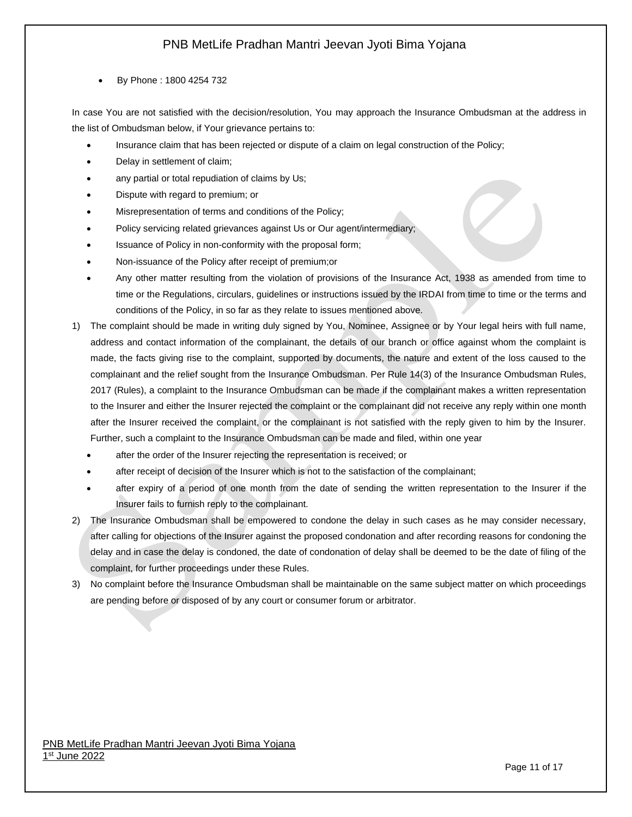### • By Phone : 1800 4254 732

In case You are not satisfied with the decision/resolution, You may approach the Insurance Ombudsman at the address in the list of Ombudsman below, if Your grievance pertains to:

- Insurance claim that has been rejected or dispute of a claim on legal construction of the Policy;
- Delay in settlement of claim;
- any partial or total repudiation of claims by Us;
- Dispute with regard to premium; or
- Misrepresentation of terms and conditions of the Policy;
- Policy servicing related grievances against Us or Our agent/intermediary;
- Issuance of Policy in non-conformity with the proposal form;
- Non-issuance of the Policy after receipt of premium;or
- Any other matter resulting from the violation of provisions of the Insurance Act, 1938 as amended from time to time or the Regulations, circulars, guidelines or instructions issued by the IRDAI from time to time or the terms and conditions of the Policy, in so far as they relate to issues mentioned above.
- 1) The complaint should be made in writing duly signed by You, Nominee, Assignee or by Your legal heirs with full name, address and contact information of the complainant, the details of our branch or office against whom the complaint is made, the facts giving rise to the complaint, supported by documents, the nature and extent of the loss caused to the complainant and the relief sought from the Insurance Ombudsman. Per Rule 14(3) of the Insurance Ombudsman Rules, 2017 (Rules), a complaint to the Insurance Ombudsman can be made if the complainant makes a written representation to the Insurer and either the Insurer rejected the complaint or the complainant did not receive any reply within one month after the Insurer received the complaint, or the complainant is not satisfied with the reply given to him by the Insurer. Further, such a complaint to the Insurance Ombudsman can be made and filed, within one year
	- after the order of the Insurer rejecting the representation is received; or
	- after receipt of decision of the Insurer which is not to the satisfaction of the complainant;
	- after expiry of a period of one month from the date of sending the written representation to the Insurer if the Insurer fails to furnish reply to the complainant.
- 2) The Insurance Ombudsman shall be empowered to condone the delay in such cases as he may consider necessary, after calling for objections of the Insurer against the proposed condonation and after recording reasons for condoning the delay and in case the delay is condoned, the date of condonation of delay shall be deemed to be the date of filing of the complaint, for further proceedings under these Rules.
- 3) No complaint before the Insurance Ombudsman shall be maintainable on the same subject matter on which proceedings are pending before or disposed of by any court or consumer forum or arbitrator.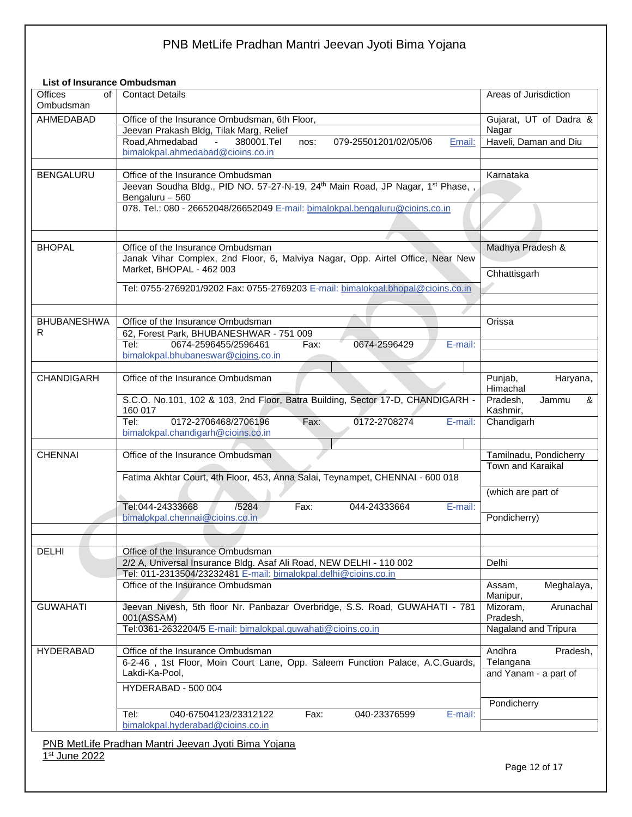### **List of Insurance Ombudsman**

| <b>Offices</b><br>οf<br>Ombudsman | <b>Contact Details</b>                                                                                              | Areas of Jurisdiction            |
|-----------------------------------|---------------------------------------------------------------------------------------------------------------------|----------------------------------|
| AHMEDABAD                         | Office of the Insurance Ombudsman, 6th Floor,                                                                       | Gujarat, UT of Dadra &           |
|                                   | Jeevan Prakash Bldg, Tilak Marg, Relief                                                                             | Nagar                            |
|                                   | Road, Ahmedabad<br>380001.Tel<br>$\omega_{\rm{max}}$<br>079-25501201/02/05/06<br>Email:<br>nos:                     | Haveli, Daman and Diu            |
|                                   | bimalokpal.ahmedabad@cioins.co.in                                                                                   |                                  |
|                                   |                                                                                                                     |                                  |
| <b>BENGALURU</b>                  | Office of the Insurance Ombudsman                                                                                   | Karnataka                        |
|                                   | Jeevan Soudha Bldg., PID NO. 57-27-N-19, 24th Main Road, JP Nagar, 1st Phase, ,                                     |                                  |
|                                   | Bengaluru - 560<br>078. Tel.: 080 - 26652048/26652049 E-mail: bimalokpal.bengaluru@cioins.co.in                     |                                  |
|                                   |                                                                                                                     |                                  |
|                                   |                                                                                                                     |                                  |
|                                   |                                                                                                                     |                                  |
| <b>BHOPAL</b>                     | Office of the Insurance Ombudsman<br>Janak Vihar Complex, 2nd Floor, 6, Malviya Nagar, Opp. Airtel Office, Near New | Madhya Pradesh &                 |
|                                   | Market, BHOPAL - 462 003                                                                                            |                                  |
|                                   |                                                                                                                     | Chhattisgarh                     |
|                                   | Tel: 0755-2769201/9202 Fax: 0755-2769203 E-mail: bimalokpal.bhopal@cioins.co.in                                     |                                  |
|                                   |                                                                                                                     |                                  |
|                                   |                                                                                                                     |                                  |
| <b>BHUBANESHWA</b>                | Office of the Insurance Ombudsman                                                                                   | Orissa                           |
| R                                 | 62, Forest Park, BHUBANESHWAR - 751 009<br>0674-2596455/2596461<br>Tel:<br>0674-2596429<br>E-mail:<br>Fax:          |                                  |
|                                   | bimalokpal.bhubaneswar@cioins.co.in                                                                                 |                                  |
|                                   |                                                                                                                     |                                  |
| <b>CHANDIGARH</b>                 | Office of the Insurance Ombudsman                                                                                   | Punjab,<br>Haryana,              |
|                                   |                                                                                                                     | Himachal                         |
|                                   | S.C.O. No.101, 102 & 103, 2nd Floor, Batra Building, Sector 17-D, CHANDIGARH -                                      | Pradesh,<br>Jammu<br>&           |
|                                   | 160 017                                                                                                             | Kashmir,                         |
|                                   | 0172-2706468/2706196<br>0172-2708274<br>Tel:<br>Fax:<br>E-mail:                                                     | Chandigarh                       |
|                                   | bimalokpal.chandigarh@cioins.co.in                                                                                  |                                  |
| <b>CHENNAI</b>                    | Office of the Insurance Ombudsman                                                                                   | Tamilnadu, Pondicherry           |
|                                   |                                                                                                                     | Town and Karaikal                |
|                                   | Fatima Akhtar Court, 4th Floor, 453, Anna Salai, Teynampet, CHENNAI - 600 018                                       |                                  |
|                                   |                                                                                                                     | (which are part of               |
|                                   |                                                                                                                     |                                  |
|                                   | Tel:044-24333668<br>/5284<br>Fax:<br>044-24333664<br>E-mail:<br>bimalokpal.chennai@cioins.co.in                     | Pondicherry)                     |
|                                   |                                                                                                                     |                                  |
|                                   |                                                                                                                     |                                  |
| DELHI                             | Office of the Insurance Ombudsman                                                                                   |                                  |
|                                   | 2/2 A, Universal Insurance Bldg. Asaf Ali Road, NEW DELHI - 110 002                                                 | Delhi                            |
|                                   | Tel: 011-2313504/23232481 E-mail: bimalokpal.delhi@cioins.co.in                                                     |                                  |
|                                   | Office of the Insurance Ombudsman                                                                                   | Meghalaya,<br>Assam,             |
|                                   |                                                                                                                     | Manipur,                         |
| <b>GUWAHATI</b>                   | Jeevan Nivesh, 5th floor Nr. Panbazar Overbridge, S.S. Road, GUWAHATI - 781                                         | Mizoram,<br>Arunachal            |
|                                   | 001(ASSAM)<br>Tel:0361-2632204/5 E-mail: bimalokpal.guwahati@cioins.co.in                                           | Pradesh,<br>Nagaland and Tripura |
|                                   |                                                                                                                     |                                  |
| <b>HYDERABAD</b>                  | Office of the Insurance Ombudsman                                                                                   | Andhra<br>Pradesh,               |
|                                   | 6-2-46, 1st Floor, Moin Court Lane, Opp. Saleem Function Palace, A.C.Guards,                                        | Telangana                        |
|                                   | Lakdi-Ka-Pool,                                                                                                      | and Yanam - a part of            |
|                                   | HYDERABAD - 500 004                                                                                                 |                                  |
|                                   |                                                                                                                     |                                  |
|                                   | 040-67504123/23312122<br>Tel:<br>Fax:<br>040-23376599<br>E-mail:                                                    | Pondicherry                      |
|                                   | bimalokpal.hyderabad@cioins.co.in                                                                                   |                                  |
|                                   |                                                                                                                     |                                  |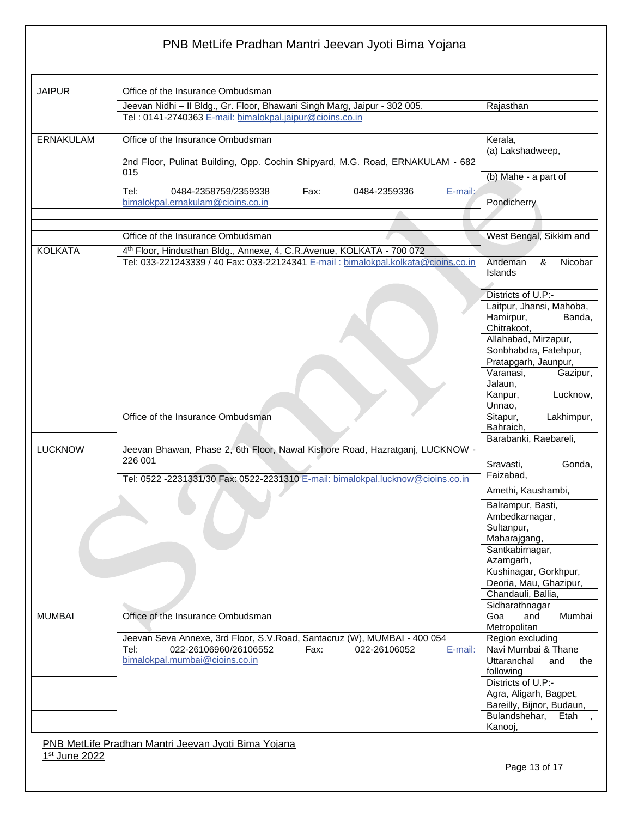| <b>JAIPUR</b>  | Office of the Insurance Ombudsman                                                                                                                           |                                              |
|----------------|-------------------------------------------------------------------------------------------------------------------------------------------------------------|----------------------------------------------|
|                |                                                                                                                                                             |                                              |
|                | Jeevan Nidhi - Il Bldg., Gr. Floor, Bhawani Singh Marg, Jaipur - 302 005.<br>Tel: 0141-2740363 E-mail: bimalokpal.jaipur@cioins.co.in                       | Rajasthan                                    |
|                |                                                                                                                                                             |                                              |
| ERNAKULAM      | Office of the Insurance Ombudsman                                                                                                                           | Kerala,                                      |
|                | 2nd Floor, Pulinat Building, Opp. Cochin Shipyard, M.G. Road, ERNAKULAM - 682                                                                               | (a) Lakshadweep,                             |
|                | 015                                                                                                                                                         | (b) Mahe - a part of                         |
|                | 0484-2358759/2359338<br>Fax:<br>0484-2359336<br>E-mail:<br>Tel:<br>bimalokpal.ernakulam@cioins.co.in                                                        | Pondicherry                                  |
|                |                                                                                                                                                             |                                              |
|                | Office of the Insurance Ombudsman                                                                                                                           | West Bengal, Sikkim and                      |
|                |                                                                                                                                                             |                                              |
| <b>KOLKATA</b> | 4th Floor, Hindusthan Bldg., Annexe, 4, C.R.Avenue, KOLKATA - 700 072<br>Tel: 033-221243339 / 40 Fax: 033-22124341 E-mail : bimalokpal.kolkata@cioins.co.in | Andeman<br>&<br>Nicobar<br>Islands           |
|                |                                                                                                                                                             | Districts of U.P:-                           |
|                |                                                                                                                                                             | Laitpur, Jhansi, Mahoba,                     |
|                |                                                                                                                                                             | Hamirpur,<br>Banda,<br>Chitrakoot,           |
|                |                                                                                                                                                             | Allahabad, Mirzapur,                         |
|                |                                                                                                                                                             | Sonbhabdra, Fatehpur,                        |
|                |                                                                                                                                                             | Pratapgarh, Jaunpur,<br>Varanasi.            |
|                |                                                                                                                                                             | Gazipur,<br>Jalaun,                          |
|                |                                                                                                                                                             | Lucknow,<br>Kanpur,                          |
|                |                                                                                                                                                             | Unnao,                                       |
|                | Office of the Insurance Ombudsman                                                                                                                           | Lakhimpur,<br>Sitapur,<br>Bahraich,          |
| <b>LUCKNOW</b> | Jeevan Bhawan, Phase 2, 6th Floor, Nawal Kishore Road, Hazratganj, LUCKNOW -                                                                                | Barabanki, Raebareli,                        |
|                | 226 001<br>Tel: 0522 -2231331/30 Fax: 0522-2231310 E-mail: bimalokpal.lucknow@cioins.co.in                                                                  | Sravasti,<br>Gonda,<br>Faizabad,             |
|                |                                                                                                                                                             | Amethi, Kaushambi,                           |
|                |                                                                                                                                                             | Balrampur, Basti,                            |
|                |                                                                                                                                                             | Ambedkarnagar,                               |
|                |                                                                                                                                                             | Sultanpur,                                   |
|                |                                                                                                                                                             | Maharajgang,<br>Santkabirnagar,<br>Azamgarh, |
|                |                                                                                                                                                             | Kushinagar, Gorkhpur,                        |
|                |                                                                                                                                                             | Deoria, Mau, Ghazipur,                       |
|                |                                                                                                                                                             | Chandauli, Ballia,                           |
|                |                                                                                                                                                             | Sidharathnagar                               |
| <b>MUMBAI</b>  | Office of the Insurance Ombudsman                                                                                                                           | Goa<br>Mumbai<br>and<br>Metropolitan         |
|                | Jeevan Seva Annexe, 3rd Floor, S.V. Road, Santacruz (W), MUMBAI - 400 054<br>022-26106960/26106552<br>Tel:<br>Fax:<br>022-26106052<br>E-mail:               | Region excluding<br>Navi Mumbai & Thane      |
|                | bimalokpal.mumbai@cioins.co.in                                                                                                                              | Uttaranchal<br>and<br>the                    |
|                |                                                                                                                                                             | following                                    |
|                |                                                                                                                                                             | Districts of U.P:-<br>Agra, Aligarh, Bagpet, |
|                |                                                                                                                                                             | Bareilly, Bijnor, Budaun,                    |
|                |                                                                                                                                                             | Bulandshehar,<br>Etah<br>$\overline{ }$      |
|                |                                                                                                                                                             | Kanooj,                                      |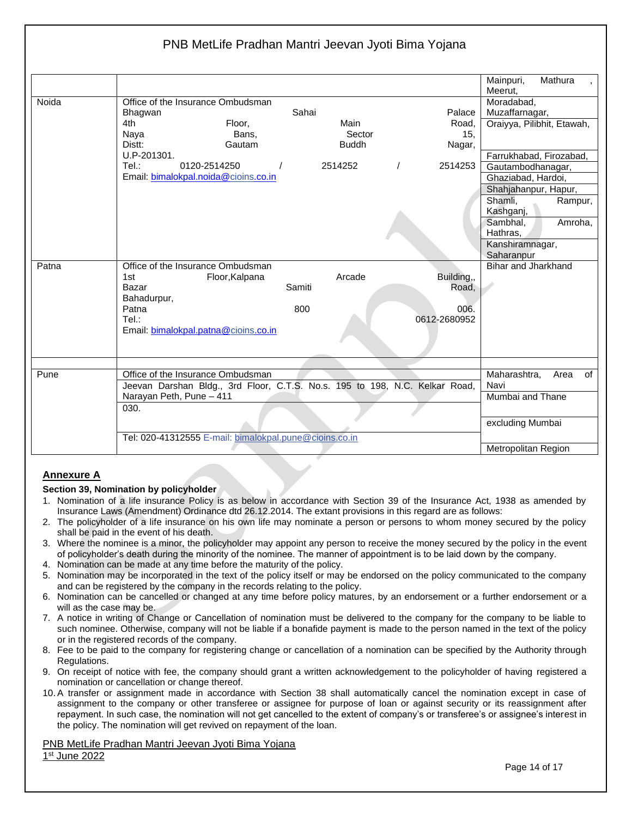|       |                                                                             | Mainpuri,<br>Mathura       |
|-------|-----------------------------------------------------------------------------|----------------------------|
|       |                                                                             | Meerut,                    |
| Noida | Office of the Insurance Ombudsman                                           | Moradabad,                 |
|       | Sahai<br>Palace<br><b>Bhagwan</b>                                           | Muzaffarnagar,             |
|       | Main<br>4th<br>Floor,<br>Road,                                              | Oraiyya, Pilibhit, Etawah, |
|       | Sector<br>15.<br>Naya<br>Bans,                                              |                            |
|       | Distt:<br><b>Buddh</b><br>Gautam<br>Nagar,                                  |                            |
|       | U.P-201301.                                                                 | Farrukhabad, Firozabad,    |
|       | Tel:<br>0120-2514250<br>$\prime$<br>2514253<br>2514252                      | Gautambodhanagar,          |
|       | Email: bimalokpal.noida@cioins.co.in                                        | Ghaziabad, Hardoi,         |
|       |                                                                             | Shahjahanpur, Hapur,       |
|       |                                                                             | Shamli.<br>Rampur,         |
|       |                                                                             | Kashganj,                  |
|       |                                                                             | Amroha,<br>Sambhal,        |
|       |                                                                             | Hathras.                   |
|       |                                                                             | Kanshiramnagar,            |
|       |                                                                             | Saharanpur                 |
| Patna | Office of the Insurance Ombudsman                                           | Bihar and Jharkhand        |
|       | Arcade<br>Floor, Kalpana<br>Building,,<br>1st                               |                            |
|       | Samiti<br>Road,<br>Bazar                                                    |                            |
|       | Bahadurpur,                                                                 |                            |
|       | 800<br>Patna<br>006.                                                        |                            |
|       | Tel:<br>0612-2680952                                                        |                            |
|       | Email: bimalokpal.patna@cioins.co.in                                        |                            |
|       |                                                                             |                            |
|       |                                                                             |                            |
|       |                                                                             |                            |
| Pune  | Office of the Insurance Ombudsman                                           | Maharashtra,<br>Area<br>of |
|       | Jeevan Darshan Bldg., 3rd Floor, C.T.S. No.s. 195 to 198, N.C. Kelkar Road, | Navi                       |
|       | Narayan Peth, Pune - 411                                                    | Mumbai and Thane           |
|       | 030.                                                                        |                            |
|       |                                                                             |                            |
|       |                                                                             | excluding Mumbai           |
|       | Tel: 020-41312555 E-mail: bimalokpal.pune@cioins.co.in                      |                            |
|       |                                                                             | Metropolitan Region        |

### **Annexure A**

#### **Section 39, Nomination by policyholder**

- 1. Nomination of a life insurance Policy is as below in accordance with Section 39 of the Insurance Act, 1938 as amended by Insurance Laws (Amendment) Ordinance dtd 26.12.2014. The extant provisions in this regard are as follows:
- 2. The policyholder of a life insurance on his own life may nominate a person or persons to whom money secured by the policy shall be paid in the event of his death.
- 3. Where the nominee is a minor, the policyholder may appoint any person to receive the money secured by the policy in the event of policyholder's death during the minority of the nominee. The manner of appointment is to be laid down by the company.
- 4. Nomination can be made at any time before the maturity of the policy.
- 5. Nomination may be incorporated in the text of the policy itself or may be endorsed on the policy communicated to the company and can be registered by the company in the records relating to the policy.
- 6. Nomination can be cancelled or changed at any time before policy matures, by an endorsement or a further endorsement or a will as the case may be.
- 7. A notice in writing of Change or Cancellation of nomination must be delivered to the company for the company to be liable to such nominee. Otherwise, company will not be liable if a bonafide payment is made to the person named in the text of the policy or in the registered records of the company.
- 8. Fee to be paid to the company for registering change or cancellation of a nomination can be specified by the Authority through Regulations.
- 9. On receipt of notice with fee, the company should grant a written acknowledgement to the policyholder of having registered a nomination or cancellation or change thereof.
- 10. A transfer or assignment made in accordance with Section 38 shall automatically cancel the nomination except in case of assignment to the company or other transferee or assignee for purpose of loan or against security or its reassignment after repayment. In such case, the nomination will not get cancelled to the extent of company's or transferee's or assignee's interest in the policy. The nomination will get revived on repayment of the loan.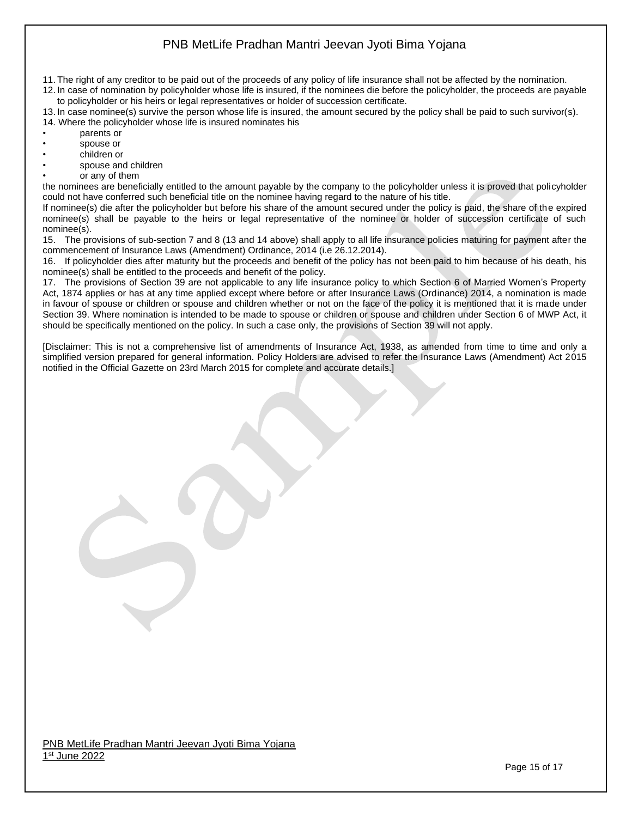- 11. The right of any creditor to be paid out of the proceeds of any policy of life insurance shall not be affected by the nomination.
- 12. In case of nomination by policyholder whose life is insured, if the nominees die before the policyholder, the proceeds are payable to policyholder or his heirs or legal representatives or holder of succession certificate.
- 13. In case nominee(s) survive the person whose life is insured, the amount secured by the policy shall be paid to such survivor(s).
- 14. Where the policyholder whose life is insured nominates his
- parents or
- spouse or
- children or
- spouse and children
- or any of them

the nominees are beneficially entitled to the amount payable by the company to the policyholder unless it is proved that policyholder could not have conferred such beneficial title on the nominee having regard to the nature of his title.

If nominee(s) die after the policyholder but before his share of the amount secured under the policy is paid, the share of the expired nominee(s) shall be payable to the heirs or legal representative of the nominee or holder of succession certificate of such nominee(s).

15. The provisions of sub-section 7 and 8 (13 and 14 above) shall apply to all life insurance policies maturing for payment after the commencement of Insurance Laws (Amendment) Ordinance, 2014 (i.e 26.12.2014).

16. If policyholder dies after maturity but the proceeds and benefit of the policy has not been paid to him because of his death, his nominee(s) shall be entitled to the proceeds and benefit of the policy.

17. The provisions of Section 39 are not applicable to any life insurance policy to which Section 6 of Married Women's Property Act, 1874 applies or has at any time applied except where before or after Insurance Laws (Ordinance) 2014, a nomination is made in favour of spouse or children or spouse and children whether or not on the face of the policy it is mentioned that it is made under Section 39. Where nomination is intended to be made to spouse or children or spouse and children under Section 6 of MWP Act, it should be specifically mentioned on the policy. In such a case only, the provisions of Section 39 will not apply.

[Disclaimer: This is not a comprehensive list of amendments of Insurance Act, 1938, as amended from time to time and only a simplified version prepared for general information. Policy Holders are advised to refer the Insurance Laws (Amendment) Act 2015 notified in the Official Gazette on 23rd March 2015 for complete and accurate details.]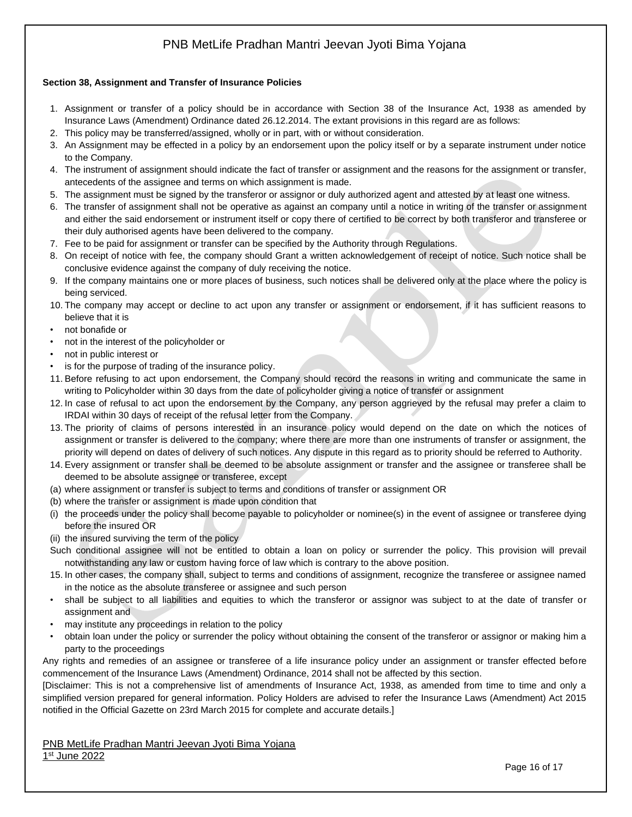### **Section 38, Assignment and Transfer of Insurance Policies**

- 1. Assignment or transfer of a policy should be in accordance with Section 38 of the Insurance Act, 1938 as amended by Insurance Laws (Amendment) Ordinance dated 26.12.2014. The extant provisions in this regard are as follows:
- 2. This policy may be transferred/assigned, wholly or in part, with or without consideration.
- 3. An Assignment may be effected in a policy by an endorsement upon the policy itself or by a separate instrument under notice to the Company.
- 4. The instrument of assignment should indicate the fact of transfer or assignment and the reasons for the assignment or transfer, antecedents of the assignee and terms on which assignment is made.
- 5. The assignment must be signed by the transferor or assignor or duly authorized agent and attested by at least one witness.
- 6. The transfer of assignment shall not be operative as against an company until a notice in writing of the transfer or assignment and either the said endorsement or instrument itself or copy there of certified to be correct by both transferor and transferee or their duly authorised agents have been delivered to the company.
- 7. Fee to be paid for assignment or transfer can be specified by the Authority through Regulations.
- 8. On receipt of notice with fee, the company should Grant a written acknowledgement of receipt of notice. Such notice shall be conclusive evidence against the company of duly receiving the notice.
- 9. If the company maintains one or more places of business, such notices shall be delivered only at the place where the policy is being serviced.
- 10. The company may accept or decline to act upon any transfer or assignment or endorsement, if it has sufficient reasons to believe that it is
- not bonafide or
- not in the interest of the policyholder or
- not in public interest or
- is for the purpose of trading of the insurance policy.
- 11. Before refusing to act upon endorsement, the Company should record the reasons in writing and communicate the same in writing to Policyholder within 30 days from the date of policyholder giving a notice of transfer or assignment
- 12. In case of refusal to act upon the endorsement by the Company, any person aggrieved by the refusal may prefer a claim to IRDAI within 30 days of receipt of the refusal letter from the Company.
- 13. The priority of claims of persons interested in an insurance policy would depend on the date on which the notices of assignment or transfer is delivered to the company; where there are more than one instruments of transfer or assignment, the priority will depend on dates of delivery of such notices. Any dispute in this regard as to priority should be referred to Authority.
- 14. Every assignment or transfer shall be deemed to be absolute assignment or transfer and the assignee or transferee shall be deemed to be absolute assignee or transferee, except
- (a) where assignment or transfer is subject to terms and conditions of transfer or assignment OR
- (b) where the transfer or assignment is made upon condition that
- (i) the proceeds under the policy shall become payable to policyholder or nominee(s) in the event of assignee or transferee dying before the insured OR
- (ii) the insured surviving the term of the policy
- Such conditional assignee will not be entitled to obtain a loan on policy or surrender the policy. This provision will prevail notwithstanding any law or custom having force of law which is contrary to the above position.
- 15. In other cases, the company shall, subject to terms and conditions of assignment, recognize the transferee or assignee named in the notice as the absolute transferee or assignee and such person
- shall be subject to all liabilities and equities to which the transferor or assignor was subject to at the date of transfer or assignment and
- may institute any proceedings in relation to the policy
- obtain loan under the policy or surrender the policy without obtaining the consent of the transferor or assignor or making him a party to the proceedings

Any rights and remedies of an assignee or transferee of a life insurance policy under an assignment or transfer effected before commencement of the Insurance Laws (Amendment) Ordinance, 2014 shall not be affected by this section.

[Disclaimer: This is not a comprehensive list of amendments of Insurance Act, 1938, as amended from time to time and only a simplified version prepared for general information. Policy Holders are advised to refer the Insurance Laws (Amendment) Act 2015 notified in the Official Gazette on 23rd March 2015 for complete and accurate details.]